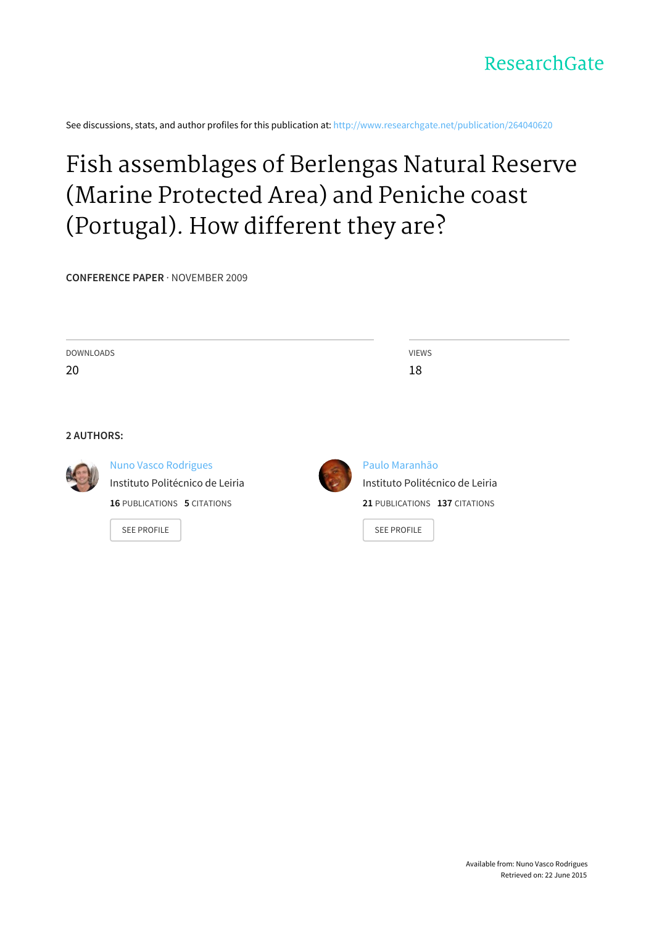See discussions, stats, and author profiles for this publication at: [http://www.researchgate.net/publication/264040620](http://www.researchgate.net/publication/264040620_Fish_assemblages_of_Berlengas_Natural_Reserve_%28Marine_Protected_Area%29_and_Peniche_coast_%28Portugal%29._How_different_they_are?enrichId=rgreq-a080cf3d-9085-47da-bcd6-eb1526433044&enrichSource=Y292ZXJQYWdlOzI2NDA0MDYyMDtBUzoxMjA0MDU0MjM1NjI3NTJAMTQwNTcxODI5ODE5MA%3D%3D&el=1_x_2)

# Fish [assemblages](http://www.researchgate.net/publication/264040620_Fish_assemblages_of_Berlengas_Natural_Reserve_%28Marine_Protected_Area%29_and_Peniche_coast_%28Portugal%29._How_different_they_are?enrichId=rgreq-a080cf3d-9085-47da-bcd6-eb1526433044&enrichSource=Y292ZXJQYWdlOzI2NDA0MDYyMDtBUzoxMjA0MDU0MjM1NjI3NTJAMTQwNTcxODI5ODE5MA%3D%3D&el=1_x_3) of Berlengas Natural Reserve (Marine Protected Area) and Peniche coast (Portugal). How different they are?

**CONFERENCE PAPER** · NOVEMBER 2009

| <b>DOWNLOADS</b>  |                                    | <b>VIEWS</b>                    |
|-------------------|------------------------------------|---------------------------------|
| 20                |                                    | 18                              |
|                   |                                    |                                 |
|                   |                                    |                                 |
| <b>2 AUTHORS:</b> |                                    |                                 |
|                   |                                    |                                 |
|                   | <b>Nuno Vasco Rodrigues</b>        | Paulo Maranhão                  |
|                   | Instituto Politécnico de Leiria    | Instituto Politécnico de Leiria |
|                   | <b>16 PUBLICATIONS 5 CITATIONS</b> | 21 PUBLICATIONS 137 CITATIONS   |
|                   | <b>SEE PROFILE</b>                 | <b>SEE PROFILE</b>              |
|                   |                                    |                                 |